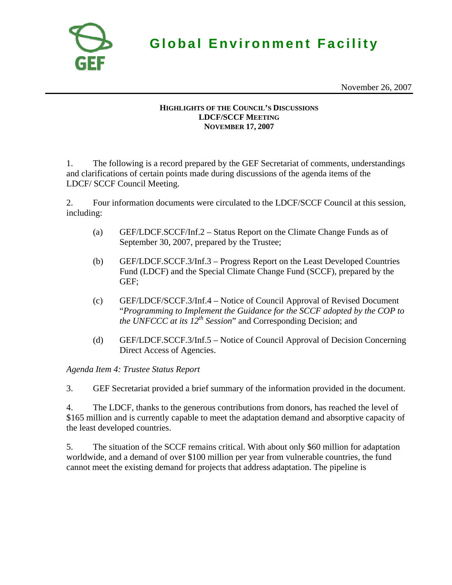

**Global Environment Facility**

November 26, 2007

## **HIGHLIGHTS OF THE COUNCIL'S DISCUSSIONS LDCF/SCCF MEETING NOVEMBER 17, 2007**

1. The following is a record prepared by the GEF Secretariat of comments, understandings and clarifications of certain points made during discussions of the agenda items of the LDCF/ SCCF Council Meeting.

2. Four information documents were circulated to the LDCF/SCCF Council at this session, including:

- (a) GEF/LDCF.SCCF/Inf.2 Status Report on the Climate Change Funds as of September 30, 2007, prepared by the Trustee;
- (b) GEF/LDCF.SCCF.3/Inf.3 Progress Report on the Least Developed Countries Fund (LDCF) and the Special Climate Change Fund (SCCF), prepared by the GEF;
- (c) GEF/LDCF/SCCF.3/Inf.4 Notice of Council Approval of Revised Document "*Programming to Implement the Guidance for the SCCF adopted by the COP to the UNFCCC at its 12<sup>th</sup> Session*" and Corresponding Decision; and
- (d) GEF/LDCF.SCCF.3/Inf.5 Notice of Council Approval of Decision Concerning Direct Access of Agencies.

*Agenda Item 4: Trustee Status Report* 

3. GEF Secretariat provided a brief summary of the information provided in the document.

4. The LDCF, thanks to the generous contributions from donors, has reached the level of \$165 million and is currently capable to meet the adaptation demand and absorptive capacity of the least developed countries.

5. The situation of the SCCF remains critical. With about only \$60 million for adaptation worldwide, and a demand of over \$100 million per year from vulnerable countries, the fund cannot meet the existing demand for projects that address adaptation. The pipeline is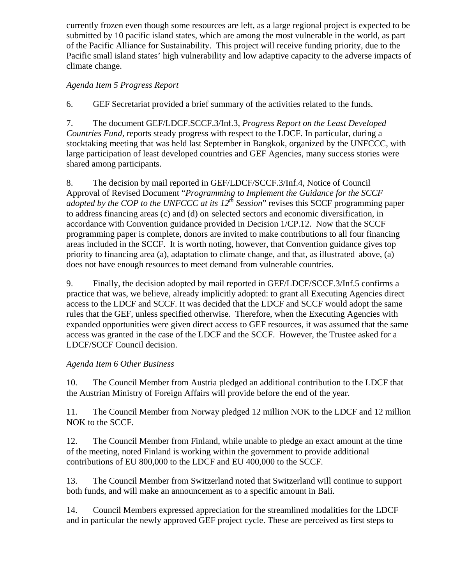currently frozen even though some resources are left, as a large regional project is expected to be submitted by 10 pacific island states, which are among the most vulnerable in the world, as part of the Pacific Alliance for Sustainability. This project will receive funding priority, due to the Pacific small island states' high vulnerability and low adaptive capacity to the adverse impacts of climate change.

## *Agenda Item 5 Progress Report*

6. GEF Secretariat provided a brief summary of the activities related to the funds.

7. The document GEF/LDCF.SCCF.3/Inf.3, *Progress Report on the Least Developed Countries Fund*, reports steady progress with respect to the LDCF. In particular, during a stocktaking meeting that was held last September in Bangkok, organized by the UNFCCC, with large participation of least developed countries and GEF Agencies, many success stories were shared among participants.

8. The decision by mail reported in GEF/LDCF/SCCF.3/Inf.4, Notice of Council Approval of Revised Document "*Programming to Implement the Guidance for the SCCF adopted by the COP to the UNFCCC at its 12<sup>th</sup> Session*" revises this SCCF programming paper to address financing areas (c) and (d) on selected sectors and economic diversification, in accordance with Convention guidance provided in Decision 1/CP.12. Now that the SCCF programming paper is complete, donors are invited to make contributions to all four financing areas included in the SCCF. It is worth noting, however, that Convention guidance gives top priority to financing area (a), adaptation to climate change, and that, as illustrated above, (a) does not have enough resources to meet demand from vulnerable countries.

9. Finally, the decision adopted by mail reported in GEF/LDCF/SCCF.3/Inf.5 confirms a practice that was, we believe, already implicitly adopted: to grant all Executing Agencies direct access to the LDCF and SCCF. It was decided that the LDCF and SCCF would adopt the same rules that the GEF, unless specified otherwise. Therefore, when the Executing Agencies with expanded opportunities were given direct access to GEF resources, it was assumed that the same access was granted in the case of the LDCF and the SCCF. However, the Trustee asked for a LDCF/SCCF Council decision.

## *Agenda Item 6 Other Business*

10. The Council Member from Austria pledged an additional contribution to the LDCF that the Austrian Ministry of Foreign Affairs will provide before the end of the year.

11. The Council Member from Norway pledged 12 million NOK to the LDCF and 12 million NOK to the SCCF.

12. The Council Member from Finland, while unable to pledge an exact amount at the time of the meeting, noted Finland is working within the government to provide additional contributions of EU 800,000 to the LDCF and EU 400,000 to the SCCF.

13. The Council Member from Switzerland noted that Switzerland will continue to support both funds, and will make an announcement as to a specific amount in Bali.

14. Council Members expressed appreciation for the streamlined modalities for the LDCF and in particular the newly approved GEF project cycle. These are perceived as first steps to